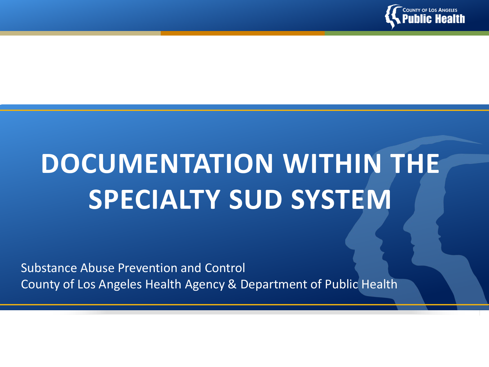

# **DOCUMENTATION WITHIN THE SPECIALTY SUD SYSTEM**

Substance Abuse Prevention and Control County of Los Angeles Health Agency & Department of Public Health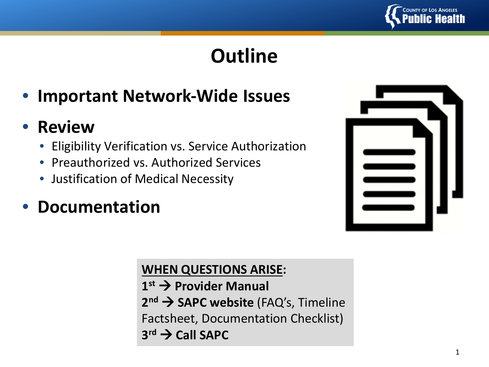

# **Outline**

# • **Important Network-Wide Issues**

## • **Review**

- Eligibility Verification vs. Service Authorization
- Preauthorized vs. Authorized Services
- Justification of Medical Necessity

# • **Documentation**

### **WHEN QUESTIONS ARISE:**

**1st Provider Manual** 2<sup>nd</sup> → SAPC website (FAQ's, Timeline Factsheet, Documentation Checklist)  $3^{rd}$   $\rightarrow$  Call SAPC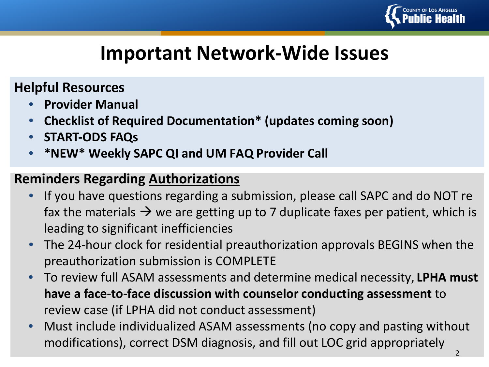

# **Important Network-Wide Issues**

### **Helpful Resources**

- **Provider Manual**
- **Checklist of Required Documentation\* (updates coming soon)**
- **START-ODS FAQs**
- **\*NEW\* Weekly SAPC QI and UM FAQ Provider Call**

### **Reminders Regarding Authorizations**

- If you have questions regarding a submission, please call SAPC and do NOT refax the materials  $\rightarrow$  we are getting up to 7 duplicate faxes per patient, which is leading to significant inefficiencies
- The 24-hour clock for residential preauthorization approvals BEGINS when the preauthorization submission is COMPLETE
- To review full ASAM assessments and determine medical necessity, **LPHA must have a face-to-face discussion with counselor conducting assessment** to review case (if LPHA did not conduct assessment)
- Must include individualized ASAM assessments (no copy and pasting without modifications), correct DSM diagnosis, and fill out LOC grid appropriately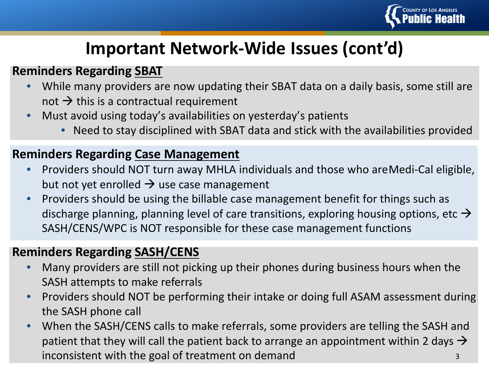

## **Important Network-Wide Issues (cont'd)**

#### **Reminders Regarding SBAT**

- While many providers are now updating their SBAT data on a daily basis, some still are not  $\rightarrow$  this is a contractual requirement
- Must avoid using today's availabilities on yesterday's patients
	- Need to stay disciplined with SBAT data and stick with the availabilities provided

#### **Reminders Regarding Case Management**

- Providers should NOT turn away MHLA individuals and those who are Medi-Cal eligible, but not yet enrolled  $\rightarrow$  use case management
- Providers should be using the billable case management benefit for things such as discharge planning, planning level of care transitions, exploring housing options, etc  $\rightarrow$ SASH/CENS/WPC is NOT responsible for these case management functions

#### **Reminders Regarding SASH/CENS**

- Many providers are still not picking up their phones during business hours when the SASH attempts to make referrals
- Providers should NOT be performing their intake or doing full ASAM assessment during the SASH phone call
- When the SASH/CENS calls to make referrals, some providers are telling the SASH and patient that they will call the patient back to arrange an appointment within 2 days  $\rightarrow$ inconsistent with the goal of treatment on demand 3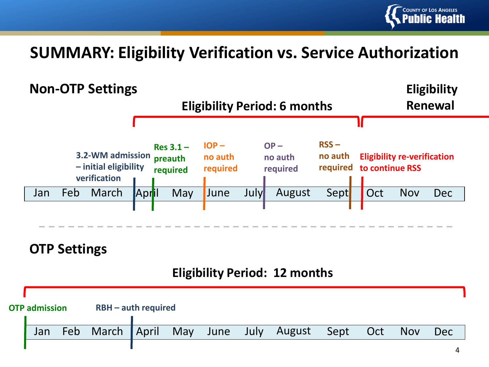

### **SUMMARY: Eligibility Verification vs. Service Authorization**



### **OTP Settings**

#### **Eligibility Period: 12 months**

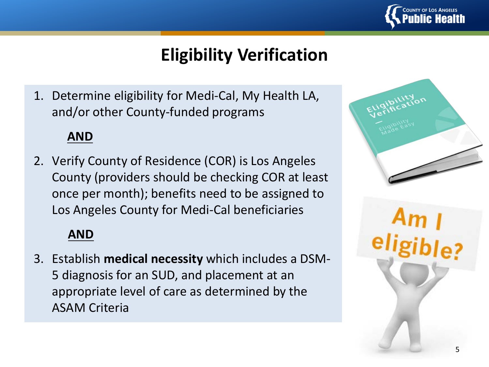

## **Eligibility Verification**

1. Determine eligibility for Medi-Cal, My Health LA, and/or other County-funded programs

#### **AND**

2. Verify County of Residence (COR) is Los Angeles County (providers should be checking COR at least once per month); benefits need to be assigned to Los Angeles County for Medi-Cal beneficiaries

### **AND**

3. Establish **medical necessity** which includes a DSM-5 diagnosis for an SUD, and placement at an appropriate level of care as determined by the ASAM Criteria

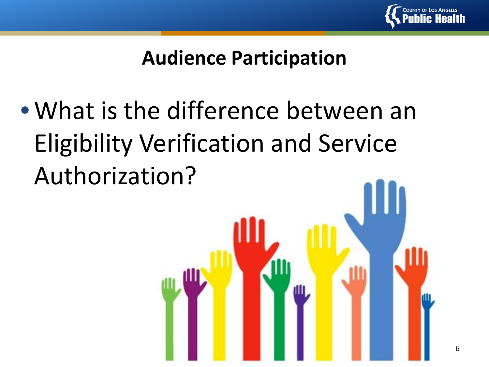

# **Audience Participation**

• What is the difference between an Eligibility Verification and Service Authorization?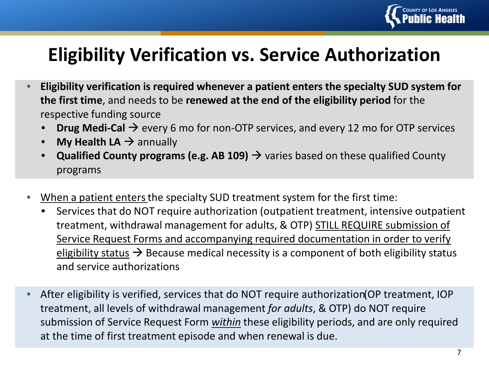

# **Eligibility Verification vs. Service Authorization**

- **Eligibility verification is required whenever a patient enters the specialty SUD system for the first time**, and needs to be **renewed at the end of the eligibility period** for the respective funding source
	- **Drug Medi-Cal**  $\rightarrow$  every 6 mo for non-OTP services, and every 12 mo for OTP services
	- **My Health LA**  $\rightarrow$  annually
	- **Qualified County programs (e.g. AB 109)**  $\rightarrow$  varies based on these qualified County programs
- When a patient enters the specialty SUD treatment system for the first time:
	- Services that do NOT require authorization (outpatient treatment, intensive outpatient treatment, withdrawal management for adults, & OTP) STILL REQUIRE submission of Service Request Forms and accompanying required documentation in order to verify eligibility status  $\rightarrow$  Because medical necessity is a component of both eligibility status and service authorizations
- After eligibility is verified, services that do NOT require authorization (OP treatment, IOP treatment, all levels of withdrawal management *for adults*, & OTP) do NOT require submission of Service Request Form *within* these eligibility periods, and are only required at the time of first treatment episode and when renewal is due.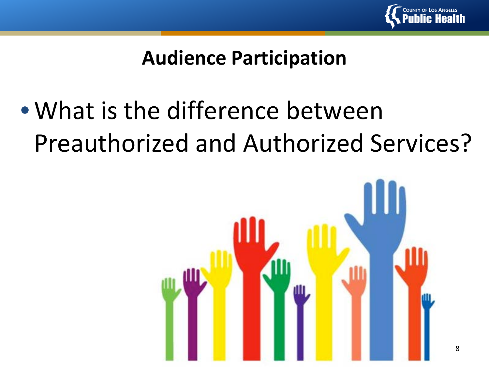

# **Audience Participation**

# • What is the difference between Preauthorized and Authorized Services?

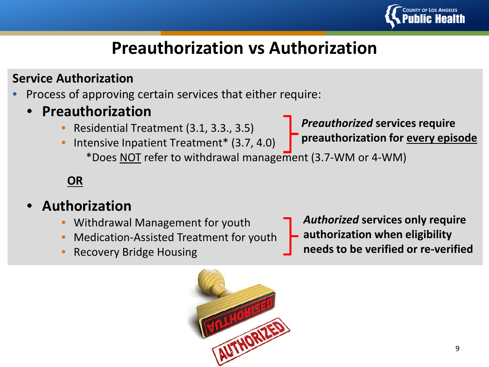

# **Preauthorization vs Authorization**

### **Service Authorization**

- Process of approving certain services that either require:
	- **Preauthorization**
		- Residential Treatment (3.1, 3.3., 3.5)
		- Intensive Inpatient Treatment\* (3.7, 4.0) \*Does NOT refer to withdrawal management (3.7-WM or 4-WM) **preauthorization for every episode**

### **OR**

- **Authorization**
	- Withdrawal Management for youth
	- Medication-Assisted Treatment for youth
	- Recovery Bridge Housing

*Authorized* **services only require authorization when eligibility needs to be verified or re-verified**

*Preauthorized* **services require** 

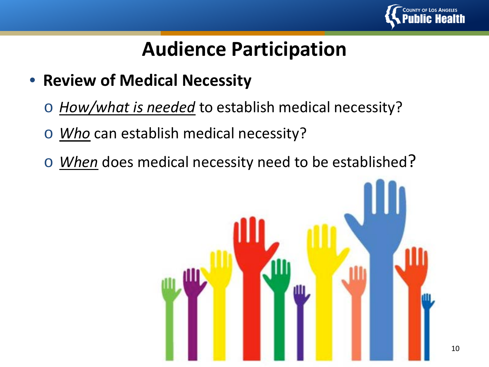

# **Audience Participation**

- **Review of Medical Necessity**
	- o *How/what is needed* to establish medical necessity?
	- o *Who* can establish medical necessity?
	- o *When* does medical necessity need to be established?

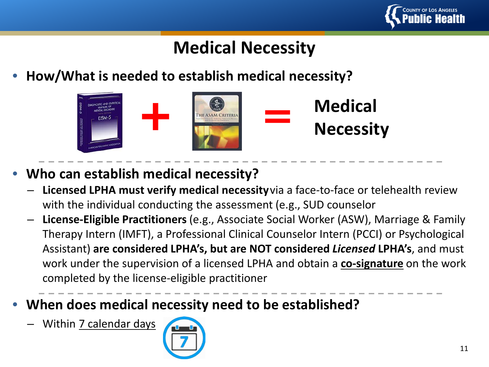

# **Medical Necessity**

• **How/What is needed to establish medical necessity?**



- **Who can establish medical necessity?**
	- **Licensed LPHA must verify medical necessity** via a face-to-face or telehealth review with the individual conducting the assessment (e.g., SUD counselor
	- **License-Eligible Practitioners** (e.g., Associate Social Worker (ASW), Marriage & Family Therapy Intern (IMFT), a Professional Clinical Counselor Intern (PCCI) or Psychological Assistant) **are considered LPHA's, but are NOT considered** *Licensed* **LPHA's**, and must work under the supervision of a licensed LPHA and obtain a **co-signature** on the work completed by the license-eligible practitioner
- **When does medical necessity need to be established?**
	- Within 7 calendar days

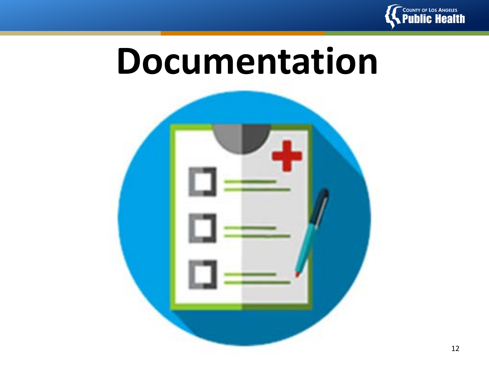

# **Documentation**

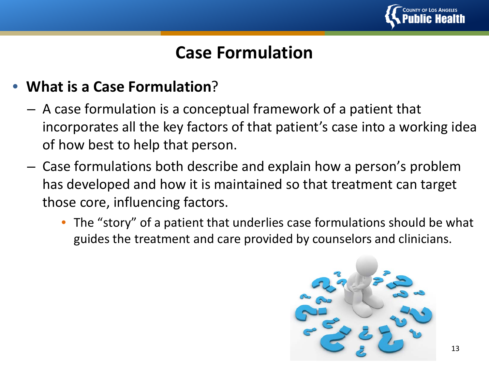

### **Case Formulation**

### • **What is a Case Formulation**?

- A case formulation is a conceptual framework of a patient that incorporates all the key factors of that patient's case into a working idea of how best to help that person.
- Case formulations both describe and explain how a person's problem has developed and how it is maintained so that treatment can target those core, influencing factors.
	- The "story" of a patient that underlies case formulations should be what guides the treatment and care provided by counselors and clinicians.

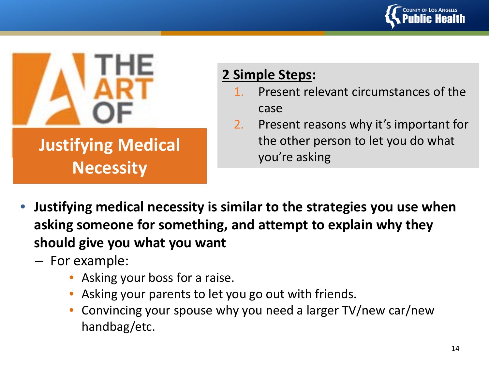



**Justifying Medical** 

**Necessity**

# **2 Simple Steps:**

- Present relevant circumstances of the case
- 2. Present reasons why it's important for the other person to let you do what you're asking
- **Justifying medical necessity is similar to the strategies you use when asking someone for something, and attempt to explain why they should give you what you want**
	- For example:
		- Asking your boss for a raise.
		- Asking your parents to let you go out with friends.
		- Convincing your spouse why you need a larger TV/new car/new handbag/etc.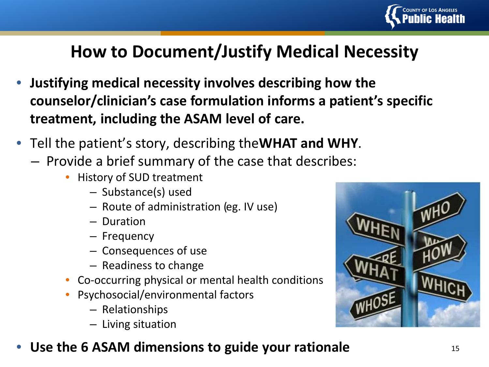

# **How to Document/Justify Medical Necessity**

- **Justifying medical necessity involves describing how the counselor/clinician's case formulation informs a patient's specific treatment, including the ASAM level of care.**
- Tell the patient's story, describing the **WHAT and WHY**.
	- Provide a brief summary of the case that describes:
		- History of SUD treatment
			- Substance(s) used
			- Route of administration (eg. IV use)
			- Duration
			- Frequency
			- Consequences of use
			- Readiness to change
		- Co-occurring physical or mental health conditions
		- Psychosocial/environmental factors
			- Relationships
			- Living situation
- **Use the 6 ASAM dimensions to guide your rationale** 15

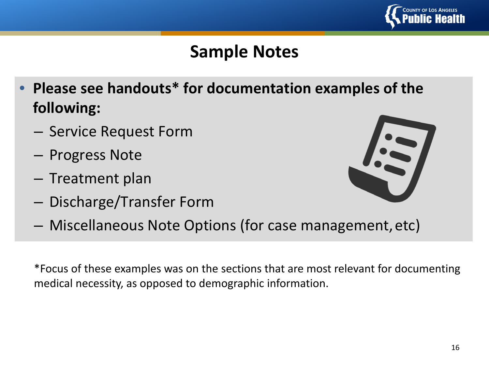

# **Sample Notes**

- **Please see handouts\* for documentation examples of the following:**
	- Service Request Form
	- Progress Note
	- Treatment plan
	- Discharge/Transfer Form



– Miscellaneous Note Options (for case management, etc)

\*Focus of these examples was on the sections that are most relevant for documenting medical necessity, as opposed to demographic information.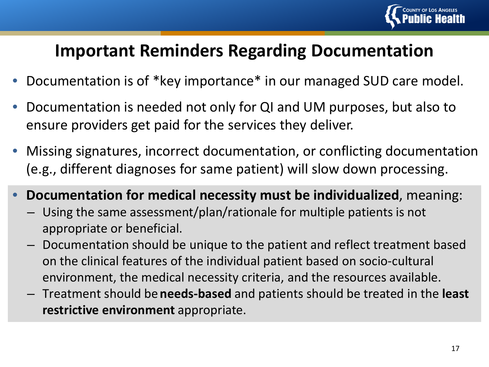

### **Important Reminders Regarding Documentation**

- Documentation is of \*key importance\* in our managed SUD care model.
- Documentation is needed not only for QI and UM purposes, but also to ensure providers get paid for the services they deliver.
- Missing signatures, incorrect documentation, or conflicting documentation (e.g., different diagnoses for same patient) will slow down processing.
- **Documentation for medical necessity must be individualized**, meaning:
	- Using the same assessment/plan/rationale for multiple patients is not appropriate or beneficial.
	- Documentation should be unique to the patient and reflect treatment based on the clinical features of the individual patient based on socio-cultural environment, the medical necessity criteria, and the resources available.
	- Treatment should be **needs-based** and patients should be treated in the **least restrictive environment** appropriate.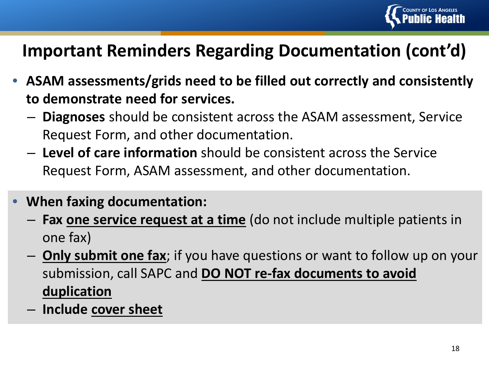

### **Important Reminders Regarding Documentation (cont'd)**

- **ASAM assessments/grids need to be filled out correctly and consistently to demonstrate need for services.**
	- **Diagnoses** should be consistent across the ASAM assessment, Service Request Form, and other documentation.
	- **Level of care information** should be consistent across the Service Request Form, ASAM assessment, and other documentation.
- **When faxing documentation:** 
	- **Fax one service request at a time** (do not include multiple patients in one fax)
	- **Only submit one fax**; if you have questions or want to follow up on your submission, call SAPC and **DO NOT re-fax documents to avoid duplication**
	- **Include cover sheet**